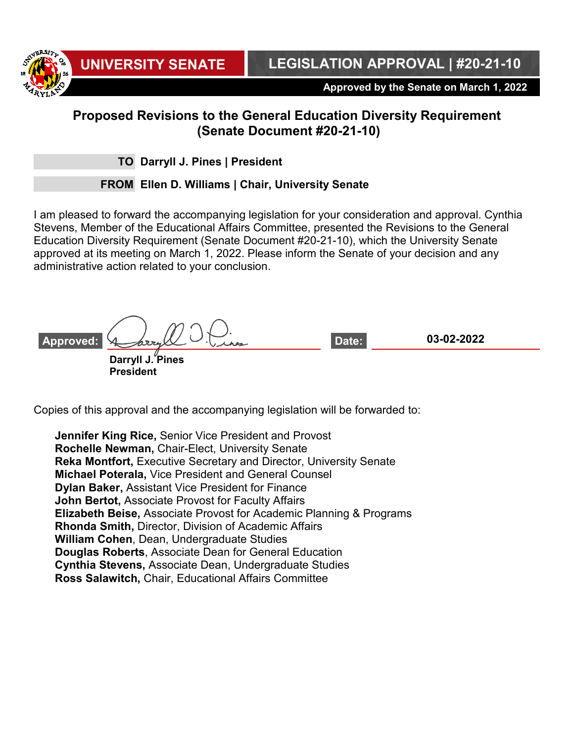**UNIVERSITY SENATE LEGISLATION APPROVAL | #20-21-10**

**Approved by the Senate on March 1, 2022**

## **Proposed Revisions to the General Education Diversity Requirement (Senate Document #20-21-10)**

**TO Darryll J. Pines | President**

**FROM Ellen D. Williams | Chair, University Senate**

I am pleased to forward the accompanying legislation for your consideration and approval. Cynthia Stevens, Member of the Educational Affairs Committee, presented the Revisions to the General Education Diversity Requirement (Senate Document #20-21-10), which the University Senate approved at its meeting on March 1, 2022. Please inform the Senate of your decision and any administrative action related to your conclusion.

**03-02-2022 Darryll J. Pines President Approved: Date:**

Copies of this approval and the accompanying legislation will be forwarded to:

**Jennifer King Rice,** Senior Vice President and Provost **Rochelle Newman,** Chair-Elect, University Senate **Reka Montfort,** Executive Secretary and Director, University Senate **Michael Poterala,** Vice President and General Counsel **Dylan Baker,** Assistant Vice President for Finance **John Bertot,** Associate Provost for Faculty Affairs **Elizabeth Beise,** Associate Provost for Academic Planning & Programs **Rhonda Smith,** Director, Division of Academic Affairs **William Cohen**, Dean, Undergraduate Studies **Douglas Roberts**, Associate Dean for General Education **Cynthia Stevens,** Associate Dean, Undergraduate Studies **Ross Salawitch,** Chair, Educational Affairs Committee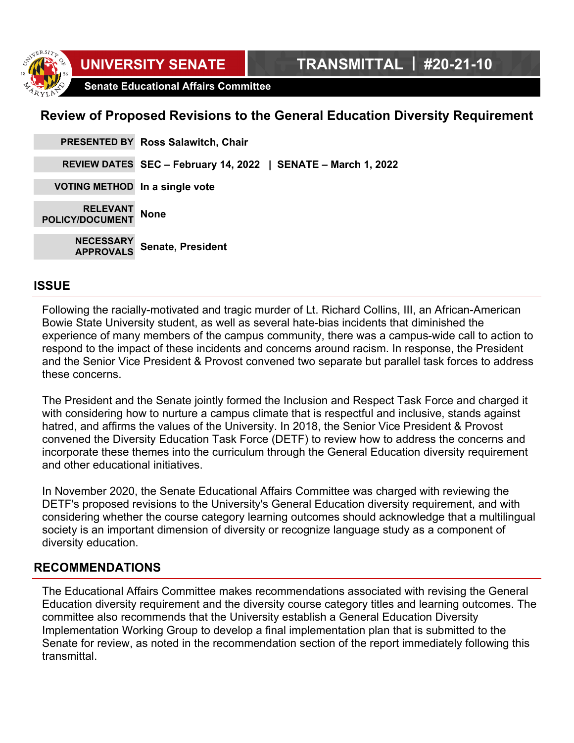**Senate Educational Affairs Committee**

## **Review of Proposed Revisions to the General Education Diversity Requirement**

|                                       | PRESENTED BY Ross Salawitch, Chair                            |
|---------------------------------------|---------------------------------------------------------------|
|                                       | REVIEW DATES SEC - February 14, 2022   SENATE - March 1, 2022 |
| VOTING METHOD In a single vote        |                                                               |
| RELEVANT None<br>POLICY/DOCUMENT None |                                                               |
| <b>NECESSARY</b><br>APPROVALS         | Senate, President                                             |

### **ISSUE**

Following the racially-motivated and tragic murder of Lt. Richard Collins, III, an African-American Bowie State University student, as well as several hate-bias incidents that diminished the experience of many members of the campus community, there was a campus-wide call to action to respond to the impact of these incidents and concerns around racism. In response, the President and the Senior Vice President & Provost convened two separate but parallel task forces to address these concerns.

The President and the Senate jointly formed the Inclusion and Respect Task Force and charged it with considering how to nurture a campus climate that is respectful and inclusive, stands against hatred, and affirms the values of the University. In 2018, the Senior Vice President & Provost convened the Diversity Education Task Force (DETF) to review how to address the concerns and incorporate these themes into the curriculum through the General Education diversity requirement and other educational initiatives.

In November 2020, the Senate Educational Affairs Committee was charged with reviewing the DETF's proposed revisions to the University's General Education diversity requirement, and with considering whether the course category learning outcomes should acknowledge that a multilingual society is an important dimension of diversity or recognize language study as a component of diversity education.

### **RECOMMENDATIONS**

The Educational Affairs Committee makes recommendations associated with revising the General Education diversity requirement and the diversity course category titles and learning outcomes. The committee also recommends that the University establish a General Education Diversity Implementation Working Group to develop a final implementation plan that is submitted to the Senate for review, as noted in the recommendation section of the report immediately following this transmittal.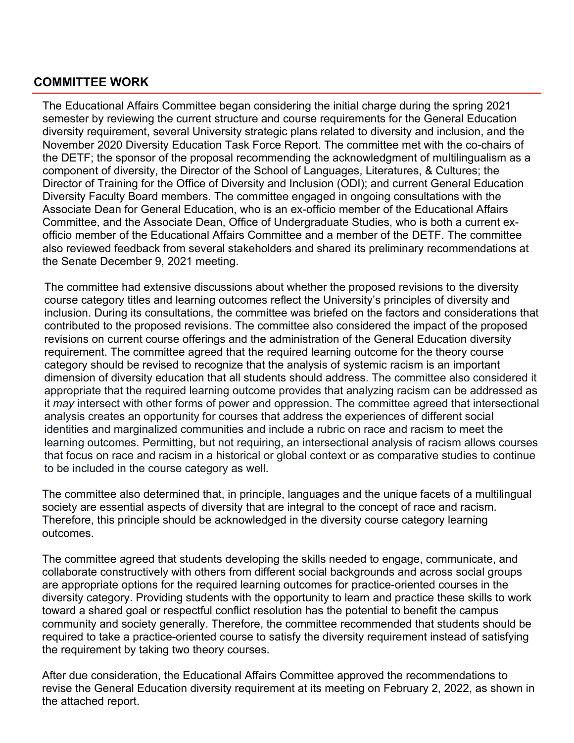### **COMMITTEE WORK**

The Educational Affairs Committee began considering the initial charge during the spring 2021 semester by reviewing the current structure and course requirements for the General Education diversity requirement, several University strategic plans related to diversity and inclusion, and the November 2020 Diversity Education Task Force Report. The committee met with the co-chairs of the DETF; the sponsor of the proposal recommending the acknowledgment of multilingualism as a component of diversity, the Director of the School of Languages, Literatures, & Cultures; the Director of Training for the Office of Diversity and Inclusion (ODI); and current General Education Diversity Faculty Board members. The committee engaged in ongoing consultations with the Associate Dean for General Education, who is an ex-officio member of the Educational Affairs Committee, and the Associate Dean, Office of Undergraduate Studies, who is both a current exofficio member of the Educational Affairs Committee and a member of the DETF. The committee also reviewed feedback from several stakeholders and shared its preliminary recommendations at the Senate December 9, 2021 meeting.

The committee had extensive discussions about whether the proposed revisions to the diversity course category titles and learning outcomes reflect the University's principles of diversity and inclusion. During its consultations, the committee was briefed on the factors and considerations that contributed to the proposed revisions. The committee also considered the impact of the proposed revisions on current course offerings and the administration of the General Education diversity requirement. The committee agreed that the required learning outcome for the theory course category should be revised to recognize that the analysis of systemic racism is an important dimension of diversity education that all students should address. The committee also considered it appropriate that the required learning outcome provides that analyzing racism can be addressed as it *may* intersect with other forms of power and oppression. The committee agreed that intersectional analysis creates an opportunity for courses that address the experiences of different social identities and marginalized communities and include a rubric on race and racism to meet the learning outcomes. Permitting, but not requiring, an intersectional analysis of racism allows courses that focus on race and racism in a historical or global context or as comparative studies to continue to be included in the course category as well.

The committee also determined that, in principle, languages and the unique facets of a multilingual society are essential aspects of diversity that are integral to the concept of race and racism. Therefore, this principle should be acknowledged in the diversity course category learning outcomes.

The committee agreed that students developing the skills needed to engage, communicate, and collaborate constructively with others from different social backgrounds and across social groups are appropriate options for the required learning outcomes for practice-oriented courses in the diversity category. Providing students with the opportunity to learn and practice these skills to work toward a shared goal or respectful conflict resolution has the potential to benefit the campus community and society generally. Therefore, the committee recommended that students should be required to take a practice-oriented course to satisfy the diversity requirement instead of satisfying the requirement by taking two theory courses.

After due consideration, the Educational Affairs Committee approved the recommendations to revise the General Education diversity requirement at its meeting on February 2, 2022, as shown in the attached report.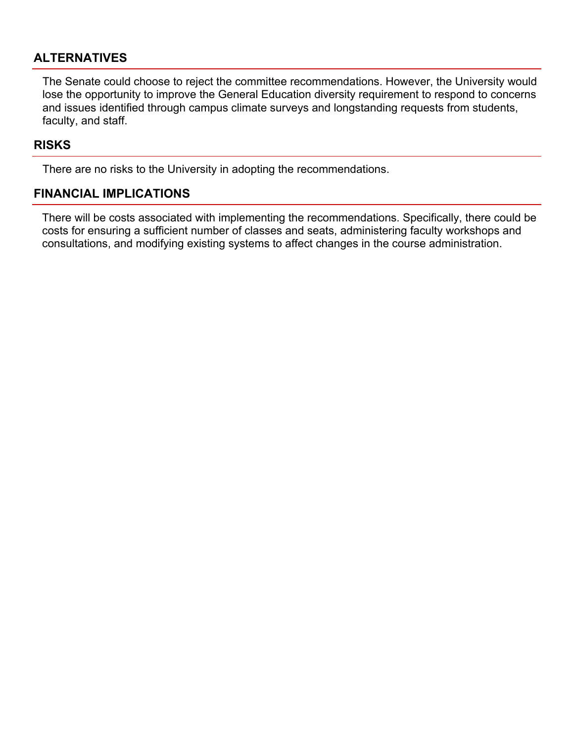### **ALTERNATIVES**

The Senate could choose to reject the committee recommendations. However, the University would lose the opportunity to improve the General Education diversity requirement to respond to concerns and issues identified through campus climate surveys and longstanding requests from students, faculty, and staff.

### **RISKS**

There are no risks to the University in adopting the recommendations.

### **FINANCIAL IMPLICATIONS**

There will be costs associated with implementing the recommendations. Specifically, there could be costs for ensuring a sufficient number of classes and seats, administering faculty workshops and consultations, and modifying existing systems to affect changes in the course administration.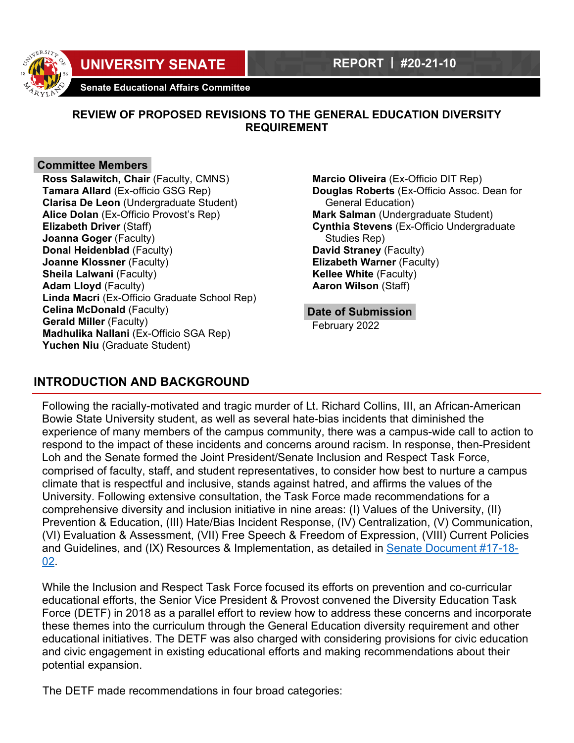

# **UNIVERSITY SENATE REPORT | #20-21-10**

**Senate Educational Affairs Committee** 

### **REVIEW OF PROPOSED REVISIONS TO THE GENERAL EDUCATION DIVERSITY REQUIREMENT**

#### **Committee Members**

**Ross Salawitch, Chair** (Faculty, CMNS) **Tamara Allard** (Ex-officio GSG Rep) **Clarisa De Leon** (Undergraduate Student) **Alice Dolan** (Ex-Officio Provost's Rep) **Elizabeth Driver** (Staff) **Joanna Goger** (Faculty) **Donal Heidenblad** (Faculty) **Joanne Klossner** (Faculty) **Sheila Lalwani** (Faculty) **Adam Lloyd** (Faculty) **Linda Macri** (Ex-Officio Graduate School Rep) **Celina McDonald** (Faculty) **Gerald Miller** (Faculty) **Madhulika Nallani** (Ex-Officio SGA Rep) **Yuchen Niu** (Graduate Student)

**Marcio Oliveira** (Ex-Officio DIT Rep) **Douglas Roberts** (Ex-Officio Assoc. Dean for General Education) **Mark Salman** (Undergraduate Student) **Cynthia Stevens** (Ex-Officio Undergraduate Studies Rep) **David Straney** (Faculty) **Elizabeth Warner** (Faculty) **Kellee White** (Faculty) **Aaron Wilson** (Staff)

#### **Date of Submission**

February 2022

### **INTRODUCTION AND BACKGROUND**

Following the racially-motivated and tragic murder of Lt. Richard Collins, III, an African-American Bowie State University student, as well as several hate-bias incidents that diminished the experience of many members of the campus community, there was a campus-wide call to action to respond to the impact of these incidents and concerns around racism. In response, then-President Loh and the Senate formed the Joint President/Senate Inclusion and Respect Task Force, comprised of faculty, staff, and student representatives, to consider how best to nurture a campus climate that is respectful and inclusive, stands against hatred, and affirms the values of the University. Following extensive consultation, the Task Force made recommendations for a comprehensive diversity and inclusion initiative in nine areas: (I) Values of the University, (II) Prevention & Education, (III) Hate/Bias Incident Response, (IV) Centralization, (V) Communication, (VI) Evaluation & Assessment, (VII) Free Speech & Freedom of Expression, (VIII) Current Policies and Guidelines, and (IX) Resources & Implementation, as detailed in Senate Document #17-18- 02.

While the Inclusion and Respect Task Force focused its efforts on prevention and co-curricular educational efforts, the Senior Vice President & Provost convened the Diversity Education Task Force (DETF) in 2018 as a parallel effort to review how to address these concerns and incorporate these themes into the curriculum through the General Education diversity requirement and other educational initiatives. The DETF was also charged with considering provisions for civic education and civic engagement in existing educational efforts and making recommendations about their potential expansion.

The DETF made recommendations in four broad categories: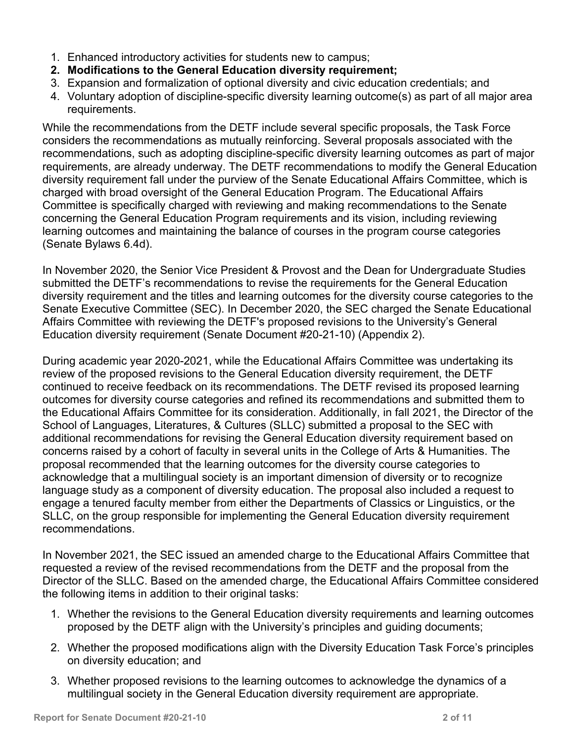- 1. Enhanced introductory activities for students new to campus;
- **2. Modifications to the General Education diversity requirement;**
- 3. Expansion and formalization of optional diversity and civic education credentials; and
- 4. Voluntary adoption of discipline-specific diversity learning outcome(s) as part of all major area requirements.

While the recommendations from the DETF include several specific proposals, the Task Force considers the recommendations as mutually reinforcing. Several proposals associated with the recommendations, such as adopting discipline-specific diversity learning outcomes as part of major requirements, are already underway. The DETF recommendations to modify the General Education diversity requirement fall under the purview of the Senate Educational Affairs Committee, which is charged with broad oversight of the General Education Program. The Educational Affairs Committee is specifically charged with reviewing and making recommendations to the Senate concerning the General Education Program requirements and its vision, including reviewing learning outcomes and maintaining the balance of courses in the program course categories (Senate Bylaws 6.4d).

In November 2020, the Senior Vice President & Provost and the Dean for Undergraduate Studies submitted the DETF's recommendations to revise the requirements for the General Education diversity requirement and the titles and learning outcomes for the diversity course categories to the Senate Executive Committee (SEC). In December 2020, the SEC charged the Senate Educational Affairs Committee with reviewing the DETF's proposed revisions to the University's General Education diversity requirement (Senate Document #20-21-10) (Appendix 2).

During academic year 2020-2021, while the Educational Affairs Committee was undertaking its review of the proposed revisions to the General Education diversity requirement, the DETF continued to receive feedback on its recommendations. The DETF revised its proposed learning outcomes for diversity course categories and refined its recommendations and submitted them to the Educational Affairs Committee for its consideration. Additionally, in fall 2021, the Director of the School of Languages, Literatures, & Cultures (SLLC) submitted a proposal to the SEC with additional recommendations for revising the General Education diversity requirement based on concerns raised by a cohort of faculty in several units in the College of Arts & Humanities. The proposal recommended that the learning outcomes for the diversity course categories to acknowledge that a multilingual society is an important dimension of diversity or to recognize language study as a component of diversity education. The proposal also included a request to engage a tenured faculty member from either the Departments of Classics or Linguistics, or the SLLC, on the group responsible for implementing the General Education diversity requirement recommendations.

In November 2021, the SEC issued an amended charge to the Educational Affairs Committee that requested a review of the revised recommendations from the DETF and the proposal from the Director of the SLLC. Based on the amended charge, the Educational Affairs Committee considered the following items in addition to their original tasks:

- 1. Whether the revisions to the General Education diversity requirements and learning outcomes proposed by the DETF align with the University's principles and guiding documents;
- 2. Whether the proposed modifications align with the Diversity Education Task Force's principles on diversity education; and
- 3. Whether proposed revisions to the learning outcomes to acknowledge the dynamics of a multilingual society in the General Education diversity requirement are appropriate.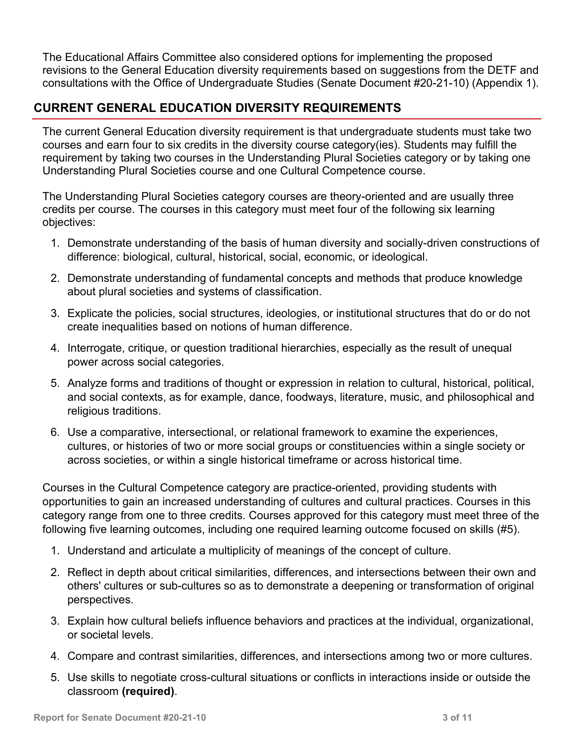The Educational Affairs Committee also considered options for implementing the proposed revisions to the General Education diversity requirements based on suggestions from the DETF and consultations with the Office of Undergraduate Studies (Senate Document #20-21-10) (Appendix 1).

## **CURRENT GENERAL EDUCATION DIVERSITY REQUIREMENTS**

The current General Education diversity requirement is that undergraduate students must take two courses and earn four to six credits in the diversity course category(ies). Students may fulfill the requirement by taking two courses in the Understanding Plural Societies category or by taking one Understanding Plural Societies course and one Cultural Competence course.

The Understanding Plural Societies category courses are theory-oriented and are usually three credits per course. The courses in this category must meet four of the following six learning objectives:

- 1. Demonstrate understanding of the basis of human diversity and socially-driven constructions of difference: biological, cultural, historical, social, economic, or ideological.
- 2. Demonstrate understanding of fundamental concepts and methods that produce knowledge about plural societies and systems of classification.
- 3. Explicate the policies, social structures, ideologies, or institutional structures that do or do not create inequalities based on notions of human difference.
- 4. Interrogate, critique, or question traditional hierarchies, especially as the result of unequal power across social categories.
- 5. Analyze forms and traditions of thought or expression in relation to cultural, historical, political, and social contexts, as for example, dance, foodways, literature, music, and philosophical and religious traditions.
- 6. Use a comparative, intersectional, or relational framework to examine the experiences, cultures, or histories of two or more social groups or constituencies within a single society or across societies, or within a single historical timeframe or across historical time.

Courses in the Cultural Competence category are practice-oriented, providing students with opportunities to gain an increased understanding of cultures and cultural practices. Courses in this category range from one to three credits. Courses approved for this category must meet three of the following five learning outcomes, including one required learning outcome focused on skills (#5).

- 1. Understand and articulate a multiplicity of meanings of the concept of culture.
- 2. Reflect in depth about critical similarities, differences, and intersections between their own and others' cultures or sub-cultures so as to demonstrate a deepening or transformation of original perspectives.
- 3. Explain how cultural beliefs influence behaviors and practices at the individual, organizational, or societal levels.
- 4. Compare and contrast similarities, differences, and intersections among two or more cultures.
- 5. Use skills to negotiate cross-cultural situations or conflicts in interactions inside or outside the classroom **(required)**.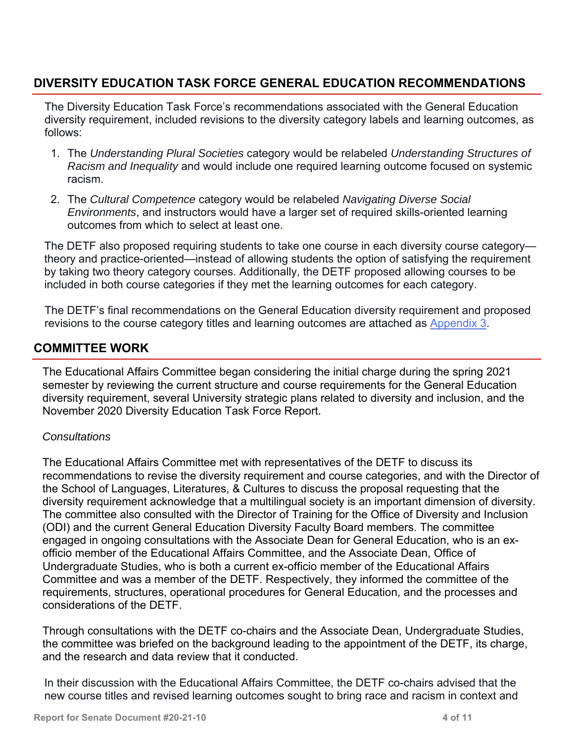## **DIVERSITY EDUCATION TASK FORCE GENERAL EDUCATION RECOMMENDATIONS**

The Diversity Education Task Force's recommendations associated with the General Education diversity requirement, included revisions to the diversity category labels and learning outcomes, as follows:

- 1. The *Understanding Plural Societies* category would be relabeled *Understanding Structures of Racism and Inequality* and would include one required learning outcome focused on systemic racism.
- 2. The *Cultural Competence* category would be relabeled *Navigating Diverse Social Environments*, and instructors would have a larger set of required skills-oriented learning outcomes from which to select at least one.

The DETF also proposed requiring students to take one course in each diversity course category theory and practice-oriented—instead of allowing students the option of satisfying the requirement by taking two theory category courses. Additionally, the DETF proposed allowing courses to be included in both course categories if they met the learning outcomes for each category.

The DETF's final recommendations on the General Education diversity requirement and proposed revisions to the course category titles and learning outcomes are attached as Appendix 3.

### **COMMITTEE WORK**

The Educational Affairs Committee began considering the initial charge during the spring 2021 semester by reviewing the current structure and course requirements for the General Education diversity requirement, several University strategic plans related to diversity and inclusion, and the November 2020 Diversity Education Task Force Report.

#### *Consultations*

The Educational Affairs Committee met with representatives of the DETF to discuss its recommendations to revise the diversity requirement and course categories, and with the Director of the School of Languages, Literatures, & Cultures to discuss the proposal requesting that the diversity requirement acknowledge that a multilingual society is an important dimension of diversity. The committee also consulted with the Director of Training for the Office of Diversity and Inclusion (ODI) and the current General Education Diversity Faculty Board members. The committee engaged in ongoing consultations with the Associate Dean for General Education, who is an exofficio member of the Educational Affairs Committee, and the Associate Dean, Office of Undergraduate Studies, who is both a current ex-officio member of the Educational Affairs Committee and was a member of the DETF. Respectively, they informed the committee of the requirements, structures, operational procedures for General Education, and the processes and considerations of the DETF.

Through consultations with the DETF co-chairs and the Associate Dean, Undergraduate Studies, the committee was briefed on the background leading to the appointment of the DETF, its charge, and the research and data review that it conducted.

In their discussion with the Educational Affairs Committee, the DETF co-chairs advised that the new course titles and revised learning outcomes sought to bring race and racism in context and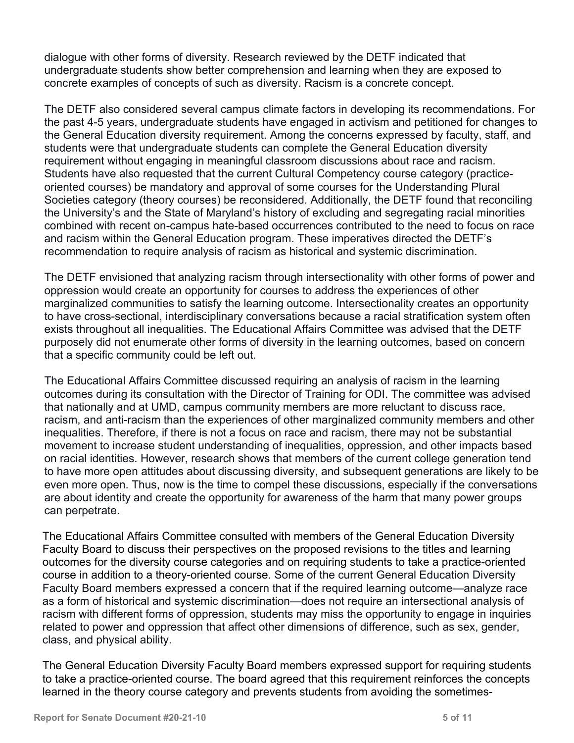dialogue with other forms of diversity. Research reviewed by the DETF indicated that undergraduate students show better comprehension and learning when they are exposed to concrete examples of concepts of such as diversity. Racism is a concrete concept.

The DETF also considered several campus climate factors in developing its recommendations. For the past 4-5 years, undergraduate students have engaged in activism and petitioned for changes to the General Education diversity requirement. Among the concerns expressed by faculty, staff, and students were that undergraduate students can complete the General Education diversity requirement without engaging in meaningful classroom discussions about race and racism. Students have also requested that the current Cultural Competency course category (practiceoriented courses) be mandatory and approval of some courses for the Understanding Plural Societies category (theory courses) be reconsidered. Additionally, the DETF found that reconciling the University's and the State of Maryland's history of excluding and segregating racial minorities combined with recent on-campus hate-based occurrences contributed to the need to focus on race and racism within the General Education program. These imperatives directed the DETF's recommendation to require analysis of racism as historical and systemic discrimination.

The DETF envisioned that analyzing racism through intersectionality with other forms of power and oppression would create an opportunity for courses to address the experiences of other marginalized communities to satisfy the learning outcome. Intersectionality creates an opportunity to have cross-sectional, interdisciplinary conversations because a racial stratification system often exists throughout all inequalities. The Educational Affairs Committee was advised that the DETF purposely did not enumerate other forms of diversity in the learning outcomes, based on concern that a specific community could be left out.

The Educational Affairs Committee discussed requiring an analysis of racism in the learning outcomes during its consultation with the Director of Training for ODI. The committee was advised that nationally and at UMD, campus community members are more reluctant to discuss race, racism, and anti-racism than the experiences of other marginalized community members and other inequalities. Therefore, if there is not a focus on race and racism, there may not be substantial movement to increase student understanding of inequalities, oppression, and other impacts based on racial identities. However, research shows that members of the current college generation tend to have more open attitudes about discussing diversity, and subsequent generations are likely to be even more open. Thus, now is the time to compel these discussions, especially if the conversations are about identity and create the opportunity for awareness of the harm that many power groups can perpetrate.

The Educational Affairs Committee consulted with members of the General Education Diversity Faculty Board to discuss their perspectives on the proposed revisions to the titles and learning outcomes for the diversity course categories and on requiring students to take a practice-oriented course in addition to a theory-oriented course. Some of the current General Education Diversity Faculty Board members expressed a concern that if the required learning outcome—analyze race as a form of historical and systemic discrimination—does not require an intersectional analysis of racism with different forms of oppression, students may miss the opportunity to engage in inquiries related to power and oppression that affect other dimensions of difference, such as sex, gender, class, and physical ability.

The General Education Diversity Faculty Board members expressed support for requiring students to take a practice-oriented course. The board agreed that this requirement reinforces the concepts learned in the theory course category and prevents students from avoiding the sometimes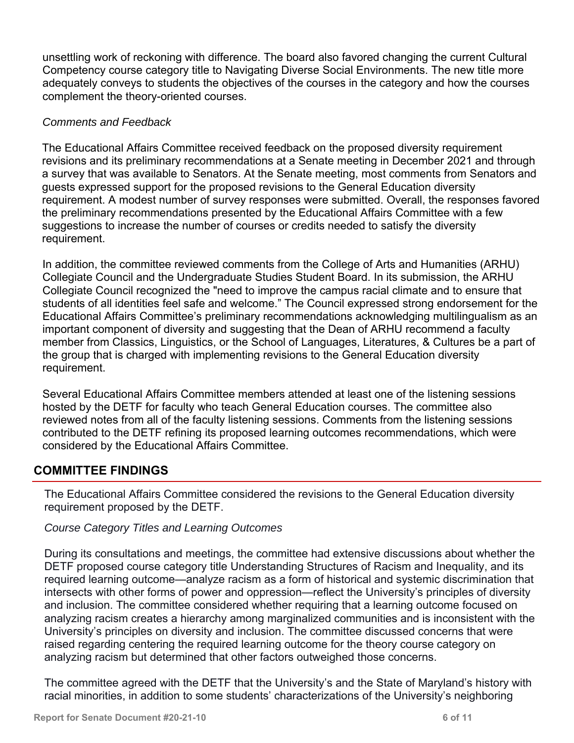unsettling work of reckoning with difference. The board also favored changing the current Cultural Competency course category title to Navigating Diverse Social Environments. The new title more adequately conveys to students the objectives of the courses in the category and how the courses complement the theory-oriented courses.

### *Comments and Feedback*

The Educational Affairs Committee received feedback on the proposed diversity requirement revisions and its preliminary recommendations at a Senate meeting in December 2021 and through a survey that was available to Senators. At the Senate meeting, most comments from Senators and guests expressed support for the proposed revisions to the General Education diversity requirement. A modest number of survey responses were submitted. Overall, the responses favored the preliminary recommendations presented by the Educational Affairs Committee with a few suggestions to increase the number of courses or credits needed to satisfy the diversity requirement.

In addition, the committee reviewed comments from the College of Arts and Humanities (ARHU) Collegiate Council and the Undergraduate Studies Student Board. In its submission, the ARHU Collegiate Council recognized the "need to improve the campus racial climate and to ensure that students of all identities feel safe and welcome." The Council expressed strong endorsement for the Educational Affairs Committee's preliminary recommendations acknowledging multilingualism as an important component of diversity and suggesting that the Dean of ARHU recommend a faculty member from Classics, Linguistics, or the School of Languages, Literatures, & Cultures be a part of the group that is charged with implementing revisions to the General Education diversity requirement.

Several Educational Affairs Committee members attended at least one of the listening sessions hosted by the DETF for faculty who teach General Education courses. The committee also reviewed notes from all of the faculty listening sessions. Comments from the listening sessions contributed to the DETF refining its proposed learning outcomes recommendations, which were considered by the Educational Affairs Committee.

### **COMMITTEE FINDINGS**

The Educational Affairs Committee considered the revisions to the General Education diversity requirement proposed by the DETF.

### *Course Category Titles and Learning Outcomes*

During its consultations and meetings, the committee had extensive discussions about whether the DETF proposed course category title Understanding Structures of Racism and Inequality, and its required learning outcome—analyze racism as a form of historical and systemic discrimination that intersects with other forms of power and oppression—reflect the University's principles of diversity and inclusion. The committee considered whether requiring that a learning outcome focused on analyzing racism creates a hierarchy among marginalized communities and is inconsistent with the University's principles on diversity and inclusion. The committee discussed concerns that were raised regarding centering the required learning outcome for the theory course category on analyzing racism but determined that other factors outweighed those concerns.

The committee agreed with the DETF that the University's and the State of Maryland's history with racial minorities, in addition to some students' characterizations of the University's neighboring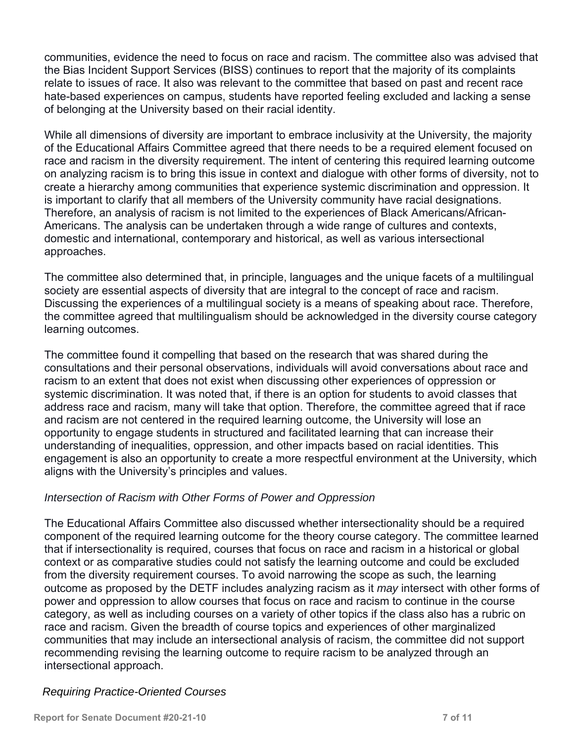communities, evidence the need to focus on race and racism. The committee also was advised that the Bias Incident Support Services (BISS) continues to report that the majority of its complaints relate to issues of race. It also was relevant to the committee that based on past and recent race hate-based experiences on campus, students have reported feeling excluded and lacking a sense of belonging at the University based on their racial identity.

While all dimensions of diversity are important to embrace inclusivity at the University, the majority of the Educational Affairs Committee agreed that there needs to be a required element focused on race and racism in the diversity requirement. The intent of centering this required learning outcome on analyzing racism is to bring this issue in context and dialogue with other forms of diversity, not to create a hierarchy among communities that experience systemic discrimination and oppression. It is important to clarify that all members of the University community have racial designations. Therefore, an analysis of racism is not limited to the experiences of Black Americans/African-Americans. The analysis can be undertaken through a wide range of cultures and contexts, domestic and international, contemporary and historical, as well as various intersectional approaches.

The committee also determined that, in principle, languages and the unique facets of a multilingual society are essential aspects of diversity that are integral to the concept of race and racism. Discussing the experiences of a multilingual society is a means of speaking about race. Therefore, the committee agreed that multilingualism should be acknowledged in the diversity course category learning outcomes.

The committee found it compelling that based on the research that was shared during the consultations and their personal observations, individuals will avoid conversations about race and racism to an extent that does not exist when discussing other experiences of oppression or systemic discrimination. It was noted that, if there is an option for students to avoid classes that address race and racism, many will take that option. Therefore, the committee agreed that if race and racism are not centered in the required learning outcome, the University will lose an opportunity to engage students in structured and facilitated learning that can increase their understanding of inequalities, oppression, and other impacts based on racial identities. This engagement is also an opportunity to create a more respectful environment at the University, which aligns with the University's principles and values.

#### *Intersection of Racism with Other Forms of Power and Oppression*

The Educational Affairs Committee also discussed whether intersectionality should be a required component of the required learning outcome for the theory course category. The committee learned that if intersectionality is required, courses that focus on race and racism in a historical or global context or as comparative studies could not satisfy the learning outcome and could be excluded from the diversity requirement courses. To avoid narrowing the scope as such, the learning outcome as proposed by the DETF includes analyzing racism as it *may* intersect with other forms of power and oppression to allow courses that focus on race and racism to continue in the course category, as well as including courses on a variety of other topics if the class also has a rubric on race and racism. Given the breadth of course topics and experiences of other marginalized communities that may include an intersectional analysis of racism, the committee did not support recommending revising the learning outcome to require racism to be analyzed through an intersectional approach.

#### *Requiring Practice-Oriented Courses*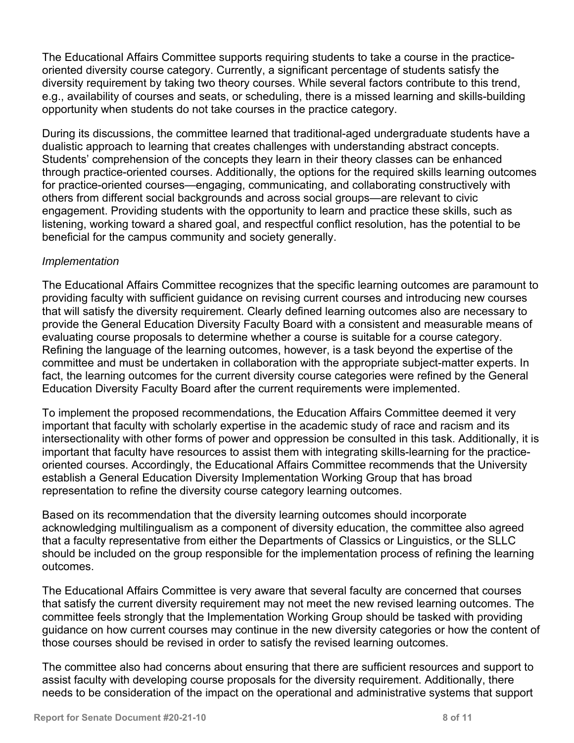The Educational Affairs Committee supports requiring students to take a course in the practiceoriented diversity course category. Currently, a significant percentage of students satisfy the diversity requirement by taking two theory courses. While several factors contribute to this trend, e.g., availability of courses and seats, or scheduling, there is a missed learning and skills-building opportunity when students do not take courses in the practice category.

During its discussions, the committee learned that traditional-aged undergraduate students have a dualistic approach to learning that creates challenges with understanding abstract concepts. Students' comprehension of the concepts they learn in their theory classes can be enhanced through practice-oriented courses. Additionally, the options for the required skills learning outcomes for practice-oriented courses—engaging, communicating, and collaborating constructively with others from different social backgrounds and across social groups—are relevant to civic engagement. Providing students with the opportunity to learn and practice these skills, such as listening, working toward a shared goal, and respectful conflict resolution, has the potential to be beneficial for the campus community and society generally.

### *Implementation*

The Educational Affairs Committee recognizes that the specific learning outcomes are paramount to providing faculty with sufficient guidance on revising current courses and introducing new courses that will satisfy the diversity requirement. Clearly defined learning outcomes also are necessary to provide the General Education Diversity Faculty Board with a consistent and measurable means of evaluating course proposals to determine whether a course is suitable for a course category. Refining the language of the learning outcomes, however, is a task beyond the expertise of the committee and must be undertaken in collaboration with the appropriate subject-matter experts. In fact, the learning outcomes for the current diversity course categories were refined by the General Education Diversity Faculty Board after the current requirements were implemented.

To implement the proposed recommendations, the Education Affairs Committee deemed it very important that faculty with scholarly expertise in the academic study of race and racism and its intersectionality with other forms of power and oppression be consulted in this task. Additionally, it is important that faculty have resources to assist them with integrating skills-learning for the practiceoriented courses. Accordingly, the Educational Affairs Committee recommends that the University establish a General Education Diversity Implementation Working Group that has broad representation to refine the diversity course category learning outcomes.

Based on its recommendation that the diversity learning outcomes should incorporate acknowledging multilingualism as a component of diversity education, the committee also agreed that a faculty representative from either the Departments of Classics or Linguistics, or the SLLC should be included on the group responsible for the implementation process of refining the learning outcomes.

The Educational Affairs Committee is very aware that several faculty are concerned that courses that satisfy the current diversity requirement may not meet the new revised learning outcomes. The committee feels strongly that the Implementation Working Group should be tasked with providing guidance on how current courses may continue in the new diversity categories or how the content of those courses should be revised in order to satisfy the revised learning outcomes.

The committee also had concerns about ensuring that there are sufficient resources and support to assist faculty with developing course proposals for the diversity requirement. Additionally, there needs to be consideration of the impact on the operational and administrative systems that support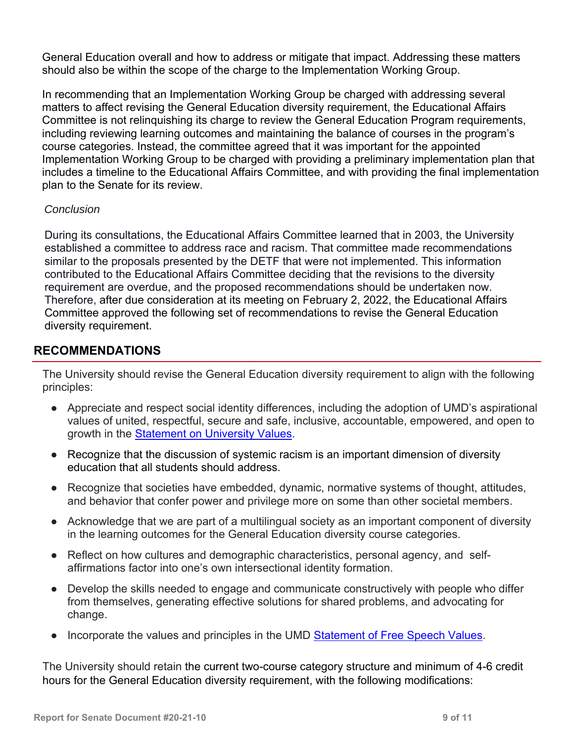General Education overall and how to address or mitigate that impact. Addressing these matters should also be within the scope of the charge to the Implementation Working Group.

In recommending that an Implementation Working Group be charged with addressing several matters to affect revising the General Education diversity requirement, the Educational Affairs Committee is not relinquishing its charge to review the General Education Program requirements, including reviewing learning outcomes and maintaining the balance of courses in the program's course categories. Instead, the committee agreed that it was important for the appointed Implementation Working Group to be charged with providing a preliminary implementation plan that includes a timeline to the Educational Affairs Committee, and with providing the final implementation plan to the Senate for its review.

### *Conclusion*

During its consultations, the Educational Affairs Committee learned that in 2003, the University established a committee to address race and racism. That committee made recommendations similar to the proposals presented by the DETF that were not implemented. This information contributed to the Educational Affairs Committee deciding that the revisions to the diversity requirement are overdue, and the proposed recommendations should be undertaken now. Therefore, after due consideration at its meeting on February 2, 2022, the Educational Affairs Committee approved the following set of recommendations to revise the General Education diversity requirement.

### **RECOMMENDATIONS**

The University should revise the General Education diversity requirement to align with the following principles:

- Appreciate and respect social identity differences, including the adoption of UMD's aspirational values of united, respectful, secure and safe, inclusive, accountable, empowered, and open to growth in the Statement on University Values.
- Recognize that the discussion of systemic racism is an important dimension of diversity education that all students should address.
- Recognize that societies have embedded, dynamic, normative systems of thought, attitudes, and behavior that confer power and privilege more on some than other societal members.
- Acknowledge that we are part of a multilingual society as an important component of diversity in the learning outcomes for the General Education diversity course categories.
- Reflect on how cultures and demographic characteristics, personal agency, and selfaffirmations factor into one's own intersectional identity formation.
- Develop the skills needed to engage and communicate constructively with people who differ from themselves, generating effective solutions for shared problems, and advocating for change.
- Incorporate the values and principles in the UMD Statement of Free Speech Values.

The University should retain the current two-course category structure and minimum of 4-6 credit hours for the General Education diversity requirement, with the following modifications: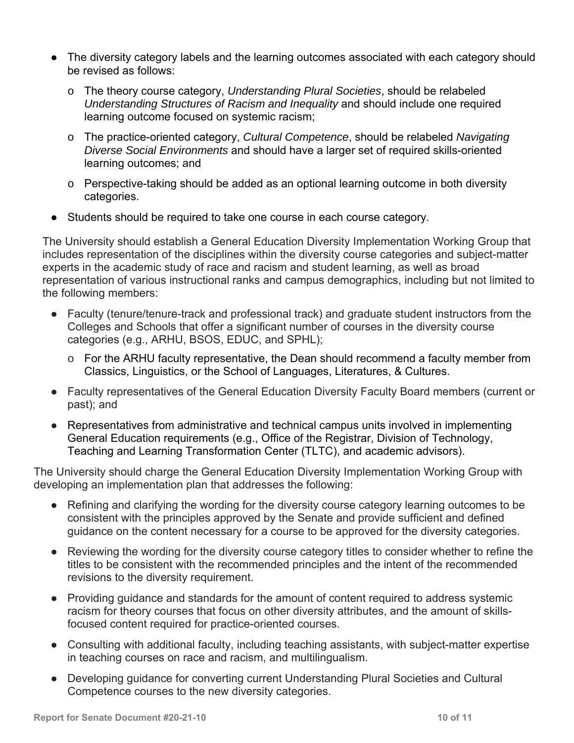- The diversity category labels and the learning outcomes associated with each category should be revised as follows:
	- o The theory course category, *Understanding Plural Societies*, should be relabeled *Understanding Structures of Racism and Inequality* and should include one required learning outcome focused on systemic racism;
	- o The practice-oriented category, *Cultural Competence*, should be relabeled *Navigating Diverse Social Environments* and should have a larger set of required skills-oriented learning outcomes; and
	- $\circ$  Perspective-taking should be added as an optional learning outcome in both diversity categories.
- Students should be required to take one course in each course category.

The University should establish a General Education Diversity Implementation Working Group that includes representation of the disciplines within the diversity course categories and subject-matter experts in the academic study of race and racism and student learning, as well as broad representation of various instructional ranks and campus demographics, including but not limited to the following members:

- Faculty (tenure/tenure-track and professional track) and graduate student instructors from the Colleges and Schools that offer a significant number of courses in the diversity course categories (e.g., ARHU, BSOS, EDUC, and SPHL);
	- o For the ARHU faculty representative, the Dean should recommend a faculty member from Classics, Linguistics, or the School of Languages, Literatures, & Cultures.
- Faculty representatives of the General Education Diversity Faculty Board members (current or past); and
- Representatives from administrative and technical campus units involved in implementing General Education requirements (e.g., Office of the Registrar, Division of Technology, Teaching and Learning Transformation Center (TLTC), and academic advisors).

The University should charge the General Education Diversity Implementation Working Group with developing an implementation plan that addresses the following:

- Refining and clarifying the wording for the diversity course category learning outcomes to be consistent with the principles approved by the Senate and provide sufficient and defined guidance on the content necessary for a course to be approved for the diversity categories.
- Reviewing the wording for the diversity course category titles to consider whether to refine the titles to be consistent with the recommended principles and the intent of the recommended revisions to the diversity requirement.
- Providing guidance and standards for the amount of content required to address systemic racism for theory courses that focus on other diversity attributes, and the amount of skillsfocused content required for practice-oriented courses.
- Consulting with additional faculty, including teaching assistants, with subject-matter expertise in teaching courses on race and racism, and multilingualism.
- Developing guidance for converting current Understanding Plural Societies and Cultural Competence courses to the new diversity categories.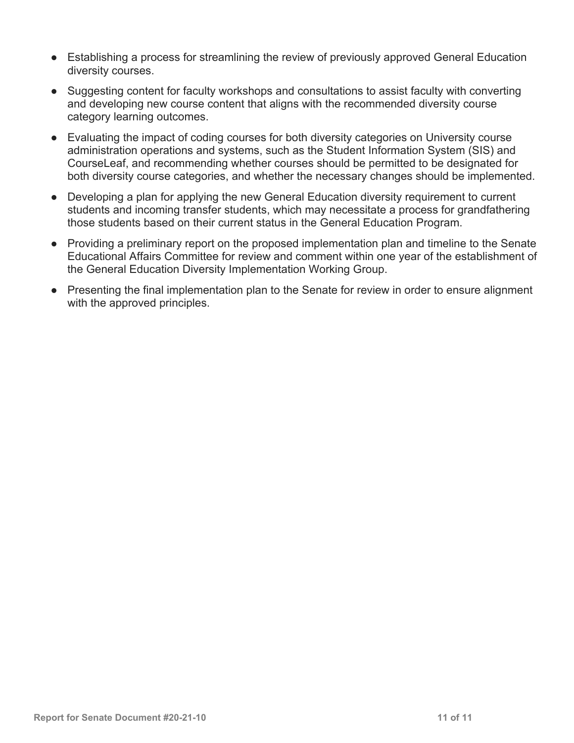- Establishing a process for streamlining the review of previously approved General Education diversity courses.
- Suggesting content for faculty workshops and consultations to assist faculty with converting and developing new course content that aligns with the recommended diversity course category learning outcomes.
- Evaluating the impact of coding courses for both diversity categories on University course administration operations and systems, such as the Student Information System (SIS) and CourseLeaf, and recommending whether courses should be permitted to be designated for both diversity course categories, and whether the necessary changes should be implemented.
- Developing a plan for applying the new General Education diversity requirement to current students and incoming transfer students, which may necessitate a process for grandfathering those students based on their current status in the General Education Program.
- Providing a preliminary report on the proposed implementation plan and timeline to the Senate Educational Affairs Committee for review and comment within one year of the establishment of the General Education Diversity Implementation Working Group.
- Presenting the final implementation plan to the Senate for review in order to ensure alignment with the approved principles.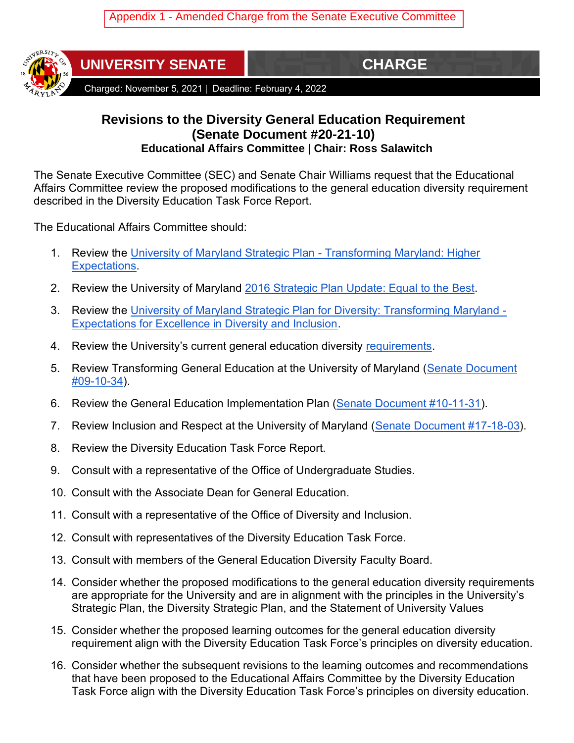

**UNIVERSITY SENATE CHARGE** 

Charged: November 5, 2021 | Deadline: February 4, 2022

## **Revisions to the Diversity General Education Requirement (Senate Document #20-21-10) Educational Affairs Committee | Chair: Ross Salawitch**

The Senate Executive Committee (SEC) and Senate Chair Williams request that the Educational Affairs Committee review the proposed modifications to the general education diversity requirement described in the Diversity Education Task Force Report.

The Educational Affairs Committee should:

- 1. Review the [University of Maryland Strategic Plan -](https://issuu.com/umaryland/docs/strategic_plan?mode=embed&documentId=080909191538-8bfc77d7902044f6af63bffcbea1b8c9&layout=grey) Transforming Maryland: Higher [Expectations.](https://issuu.com/umaryland/docs/strategic_plan?mode=embed&documentId=080909191538-8bfc77d7902044f6af63bffcbea1b8c9&layout=grey)
- 2. Review the University of Maryland [2016 Strategic Plan Update: Equal to the Best.](https://www.provost.umd.edu/sites/default/files/inline-files/2016StrategicPlanUpdateFinal_0.pdf)
- 3. Review the [University of Maryland Strategic Plan for](https://issuu.com/umaryland/docs/22628) Diversity: Transforming Maryland [Expectations for Excellence in Diversity and Inclusion.](https://issuu.com/umaryland/docs/22628)
- 4. Review the University's current general education diversity [requirements.](https://www.gened.umd.edu/students/four-categories/diversity)
- 5. Review Transforming General Education at the University of Maryland (Senate Document [#09-10-34\)](https://senate.umd.edu/system/files/resources/billDocuments/09-10-34/stage6/Presidential_Approval_09-10-34.pdf).
- 6. Review the General Education Implementation Plan [\(Senate Document #10-11-31\)](https://senate.umd.edu/system/files/resources/billDocuments/10-11-31/stage5/Presidential_Approval_Gen_Ed_Implementation_Plan-10-11-31.pdf).
- 7. Review Inclusion and Respect at the University of Maryland [\(Senate Document #17-18-03\)](https://senate.umd.edu/system/files/resources/billDocuments/17-18-03/stage4/Presidential_Approval_Inclusion_Respect_17_18_03.pdf).
- 8. Review the Diversity Education Task Force Report.
- 9. Consult with a representative of the Office of Undergraduate Studies.
- 10. Consult with the Associate Dean for General Education.
- 11. Consult with a representative of the Office of Diversity and Inclusion.
- 12. Consult with representatives of the Diversity Education Task Force.
- 13. Consult with members of the General Education Diversity Faculty Board.
- 14. Consider whether the proposed modifications to the general education diversity requirements are appropriate for the University and are in alignment with the principles in the University's Strategic Plan, the Diversity Strategic Plan, and the Statement of University Values
- 15. Consider whether the proposed learning outcomes for the general education diversity requirement align with the Diversity Education Task Force's principles on diversity education.
- 16. Consider whether the subsequent revisions to the learning outcomes and recommendations that have been proposed to the Educational Affairs Committee by the Diversity Education Task Force align with the Diversity Education Task Force's principles on diversity education.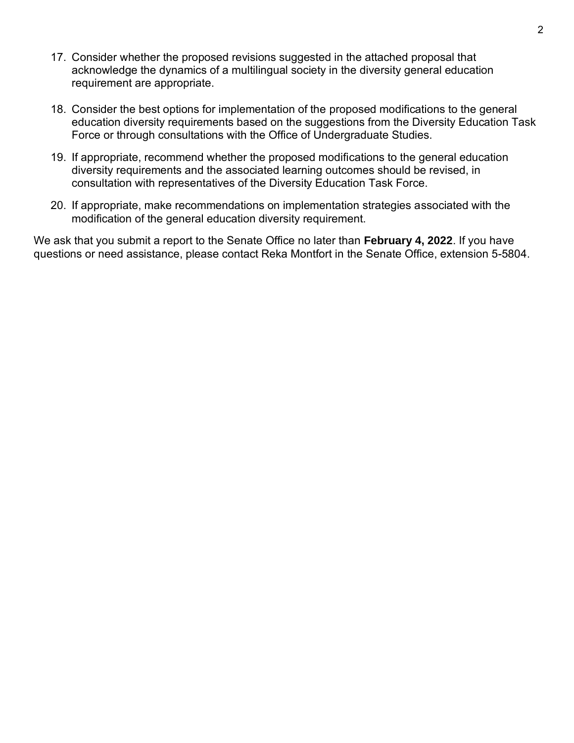- 17. Consider whether the proposed revisions suggested in the attached proposal that acknowledge the dynamics of a multilingual society in the diversity general education requirement are appropriate.
- 18. Consider the best options for implementation of the proposed modifications to the general education diversity requirements based on the suggestions from the Diversity Education Task Force or through consultations with the Office of Undergraduate Studies.
- 19. If appropriate, recommend whether the proposed modifications to the general education diversity requirements and the associated learning outcomes should be revised, in consultation with representatives of the Diversity Education Task Force.
- 20. If appropriate, make recommendations on implementation strategies associated with the modification of the general education diversity requirement.

We ask that you submit a report to the Senate Office no later than **February 4, 2022**. If you have questions or need assistance, please contact Reka Montfort in the Senate Office, extension 5-5804.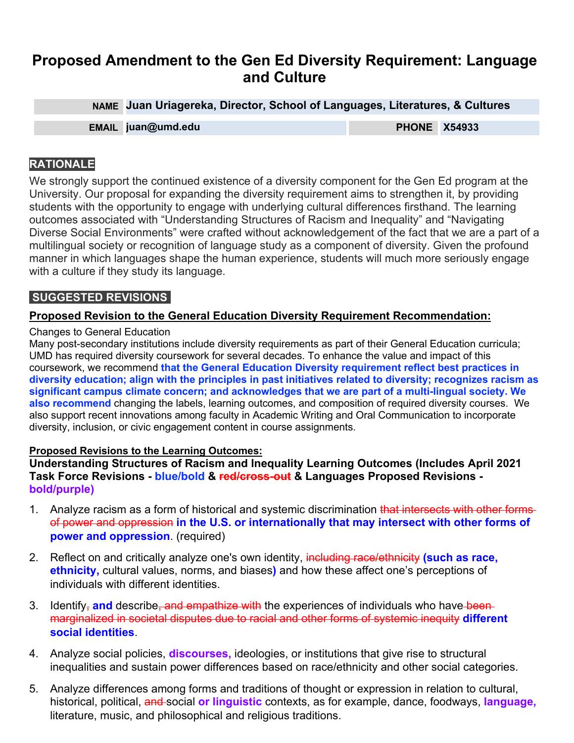# **Proposed Amendment to the Gen Ed Diversity Requirement: Language and Culture**

**NAME Juan Uriagereka, Director, School of Languages, Literatures, & Cultures EMAIL juan@umd.edu PHONE X54933**

### **RATIONALE**

We strongly support the continued existence of a diversity component for the Gen Ed program at the University. Our proposal for expanding the diversity requirement aims to strengthen it, by providing students with the opportunity to engage with underlying cultural differences firsthand. The learning outcomes associated with "Understanding Structures of Racism and Inequality" and "Navigating Diverse Social Environments" were crafted without acknowledgement of the fact that we are a part of a multilingual society or recognition of language study as a component of diversity. Given the profound manner in which languages shape the human experience, students will much more seriously engage with a culture if they study its language.

### **SUGGESTED REVISIONS**

#### **Proposed Revision to the General Education Diversity Requirement Recommendation:**

#### Changes to General Education

Many post-secondary institutions include diversity requirements as part of their General Education curricula; UMD has required diversity coursework for several decades. To enhance the value and impact of this coursework, we recommend **that the General Education Diversity requirement reflect best practices in diversity education; align with the principles in past initiatives related to diversity; recognizes racism as significant campus climate concern; and acknowledges that we are part of a multi-lingual society. We also recommend** changing the labels, learning outcomes, and composition of required diversity courses. We also support recent innovations among faculty in Academic Writing and Oral Communication to incorporate diversity, inclusion, or civic engagement content in course assignments.

#### **Proposed Revisions to the Learning Outcomes:**

**Understanding Structures of Racism and Inequality Learning Outcomes (Includes April 2021 Task Force Revisions - blue/bold & red/cross-out & Languages Proposed Revisions bold/purple)**

- 1. Analyze racism as a form of historical and systemic discrimination that intersects with other formsof power and oppression **in the U.S. or internationally that may intersect with other forms of power and oppression**. (required)
- 2. Reflect on and critically analyze one's own identity, including race/ethnicity **(such as race, ethnicity,** cultural values, norms, and biases**)** and how these affect one's perceptions of individuals with different identities.
- 3. Identify<sub>r</sub> and describe, and empathize with the experiences of individuals who have been marginalized in societal disputes due to racial and other forms of systemic inequity **different social identities**.
- 4. Analyze social policies, **discourses,** ideologies, or institutions that give rise to structural inequalities and sustain power differences based on race/ethnicity and other social categories.
- 5. Analyze differences among forms and traditions of thought or expression in relation to cultural, historical, political, and social **or linguistic** contexts, as for example, dance, foodways, **language,** literature, music, and philosophical and religious traditions.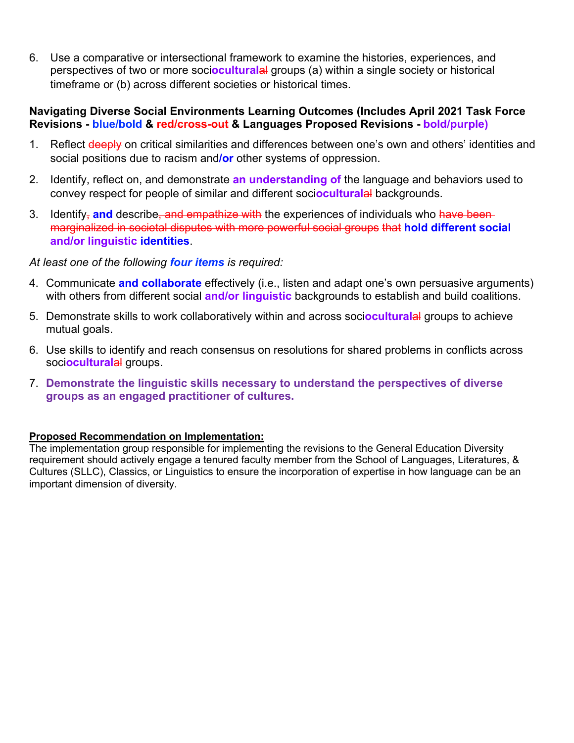6. Use a comparative or intersectional framework to examine the histories, experiences, and perspectives of two or more soci**ocultural**al groups (a) within a single society or historical timeframe or (b) across different societies or historical times.

#### **Navigating Diverse Social Environments Learning Outcomes (Includes April 2021 Task Force Revisions - blue/bold & red/cross-out & Languages Proposed Revisions - bold/purple)**

- 1. Reflect deeply on critical similarities and differences between one's own and others' identities and social positions due to racism and**/or** other systems of oppression.
- 2. Identify, reflect on, and demonstrate **an understanding of** the language and behaviors used to convey respect for people of similar and different soci**ocultural**al backgrounds.
- 3. Identify, **and** describe, and empathize with the experiences of individuals who have been marginalized in societal disputes with more powerful social groups that **hold different social and/or linguistic identities**.

#### *At least one of the following four items is required:*

- 4. Communicate **and collaborate** effectively (i.e., listen and adapt one's own persuasive arguments) with others from different social **and/or linguistic** backgrounds to establish and build coalitions.
- 5. Demonstrate skills to work collaboratively within and across soci**ocultural**al groups to achieve mutual goals.
- 6. Use skills to identify and reach consensus on resolutions for shared problems in conflicts across soci**ocultural**al groups.
- 7. **Demonstrate the linguistic skills necessary to understand the perspectives of diverse groups as an engaged practitioner of cultures.**

#### **Proposed Recommendation on Implementation:**

The implementation group responsible for implementing the revisions to the General Education Diversity requirement should actively engage a tenured faculty member from the School of Languages, Literatures, & Cultures (SLLC), Classics, or Linguistics to ensure the incorporation of expertise in how language can be an important dimension of diversity.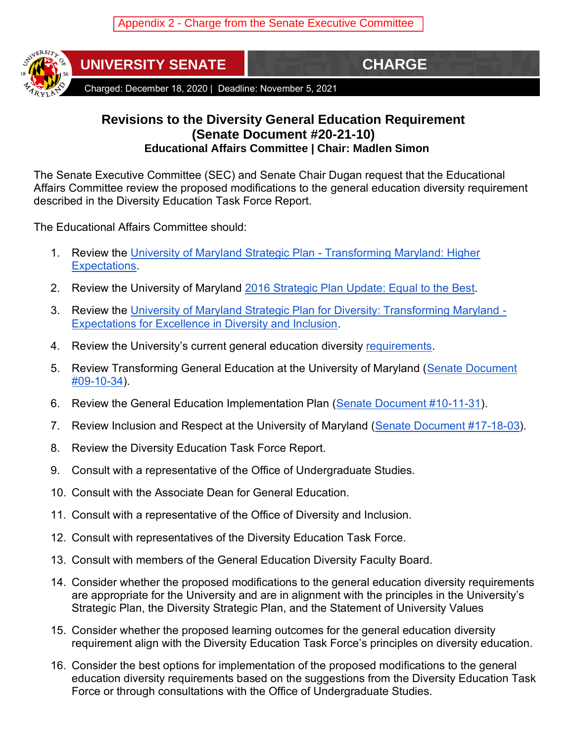

**UNIVERSITY SENATE** 

Charged: December 18, 2020 | Deadline: November 5, 2021

## **Revisions to the Diversity General Education Requirement (Senate Document #20-21-10) Educational Affairs Committee | Chair: Madlen Simon**

The Senate Executive Committee (SEC) and Senate Chair Dugan request that the Educational Affairs Committee review the proposed modifications to the general education diversity requirement described in the Diversity Education Task Force Report.

The Educational Affairs Committee should:

- 1. Review the [University of Maryland Strategic Plan -](https://issuu.com/umaryland/docs/strategic_plan?mode=embed&documentId=080909191538-8bfc77d7902044f6af63bffcbea1b8c9&layout=grey) Transforming Maryland: Higher [Expectations.](https://issuu.com/umaryland/docs/strategic_plan?mode=embed&documentId=080909191538-8bfc77d7902044f6af63bffcbea1b8c9&layout=grey)
- 2. Review the University of Maryland [2016 Strategic Plan Update: Equal to the Best.](https://www.provost.umd.edu/sites/default/files/inline-files/2016StrategicPlanUpdateFinal_0.pdf)
- 3. Review the [University of Maryland Strategic Plan for Diversity: Transforming Maryland -](https://issuu.com/umaryland/docs/22628) [Expectations for Excellence in Diversity and Inclusion.](https://issuu.com/umaryland/docs/22628)
- 4. Review the University's current general education diversity [requirements.](https://www.gened.umd.edu/students/four-categories/diversity)
- 5. Review Transforming General Education at the University of Maryland (Senate Document [#09-10-34\)](https://senate.umd.edu/system/files/resources/billDocuments/09-10-34/stage6/Presidential_Approval_09-10-34.pdf).
- 6. Review the General Education Implementation Plan [\(Senate Document #10-11-31\)](https://senate.umd.edu/system/files/resources/billDocuments/10-11-31/stage5/Presidential_Approval_Gen_Ed_Implementation_Plan-10-11-31.pdf).
- 7. Review Inclusion and Respect at the University of Maryland [\(Senate Document #17-18-03\)](https://senate.umd.edu/system/files/resources/billDocuments/17-18-03/stage4/Presidential_Approval_Inclusion_Respect_17_18_03.pdf).
- 8. Review the Diversity Education Task Force Report.
- 9. Consult with a representative of the Office of Undergraduate Studies.
- 10. Consult with the Associate Dean for General Education.
- 11. Consult with a representative of the Office of Diversity and Inclusion.
- 12. Consult with representatives of the Diversity Education Task Force.
- 13. Consult with members of the General Education Diversity Faculty Board.
- 14. Consider whether the proposed modifications to the general education diversity requirements are appropriate for the University and are in alignment with the principles in the University's Strategic Plan, the Diversity Strategic Plan, and the Statement of University Values
- 15. Consider whether the proposed learning outcomes for the general education diversity requirement align with the Diversity Education Task Force's principles on diversity education.
- 16. Consider the best options for implementation of the proposed modifications to the general education diversity requirements based on the suggestions from the Diversity Education Task Force or through consultations with the Office of Undergraduate Studies.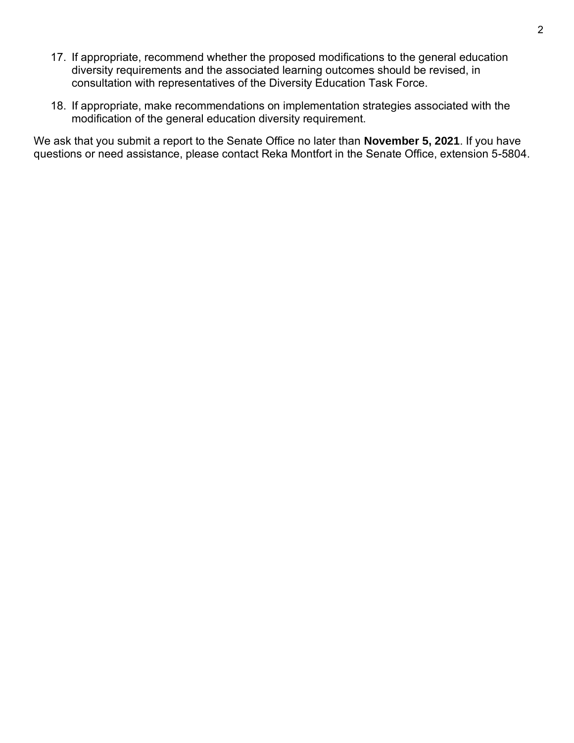- 17. If appropriate, recommend whether the proposed modifications to the general education diversity requirements and the associated learning outcomes should be revised, in consultation with representatives of the Diversity Education Task Force.
- 18. If appropriate, make recommendations on implementation strategies associated with the modification of the general education diversity requirement.

We ask that you submit a report to the Senate Office no later than **November 5, 2021**. If you have questions or need assistance, please contact Reka Montfort in the Senate Office, extension 5-5804.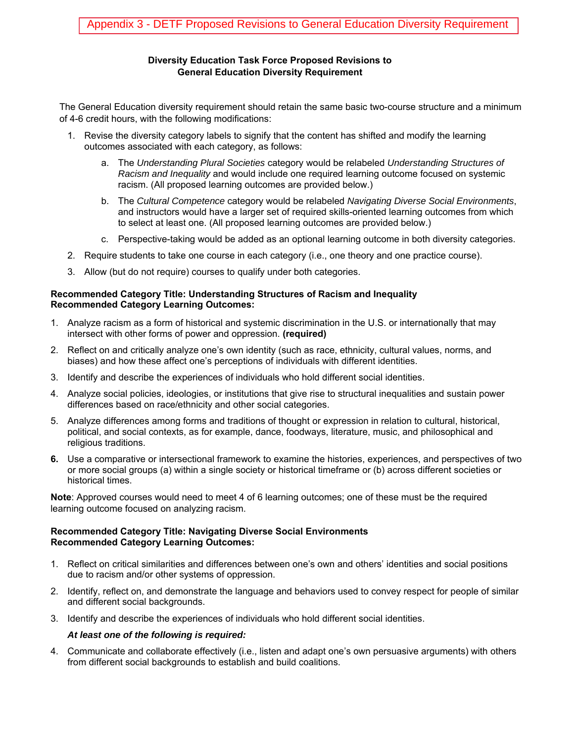#### **Diversity Education Task Force Proposed Revisions to General Education Diversity Requirement**

The General Education diversity requirement should retain the same basic two-course structure and a minimum of 4-6 credit hours, with the following modifications:

- 1. Revise the diversity category labels to signify that the content has shifted and modify the learning outcomes associated with each category, as follows:
	- a. The *Understanding Plural Societies* category would be relabeled *Understanding Structures of Racism and Inequality* and would include one required learning outcome focused on systemic racism. (All proposed learning outcomes are provided below.)
	- b. The *Cultural Competence* category would be relabeled *Navigating Diverse Social Environments*, and instructors would have a larger set of required skills-oriented learning outcomes from which to select at least one. (All proposed learning outcomes are provided below.)
	- c. Perspective-taking would be added as an optional learning outcome in both diversity categories.
- 2. Require students to take one course in each category (i.e., one theory and one practice course).
- 3. Allow (but do not require) courses to qualify under both categories.

#### **Recommended Category Title: Understanding Structures of Racism and Inequality Recommended Category Learning Outcomes:**

- 1. Analyze racism as a form of historical and systemic discrimination in the U.S. or internationally that may intersect with other forms of power and oppression. **(required)**
- 2. Reflect on and critically analyze one's own identity (such as race, ethnicity, cultural values, norms, and biases) and how these affect one's perceptions of individuals with different identities.
- 3. Identify and describe the experiences of individuals who hold different social identities.
- 4. Analyze social policies, ideologies, or institutions that give rise to structural inequalities and sustain power differences based on race/ethnicity and other social categories.
- 5. Analyze differences among forms and traditions of thought or expression in relation to cultural, historical, political, and social contexts, as for example, dance, foodways, literature, music, and philosophical and religious traditions.
- **6.** Use a comparative or intersectional framework to examine the histories, experiences, and perspectives of two or more social groups (a) within a single society or historical timeframe or (b) across different societies or historical times.

**Note**: Approved courses would need to meet 4 of 6 learning outcomes; one of these must be the required learning outcome focused on analyzing racism.

#### **Recommended Category Title: Navigating Diverse Social Environments Recommended Category Learning Outcomes:**

- 1. Reflect on critical similarities and differences between one's own and others' identities and social positions due to racism and/or other systems of oppression.
- 2. Identify, reflect on, and demonstrate the language and behaviors used to convey respect for people of similar and different social backgrounds.
- 3. Identify and describe the experiences of individuals who hold different social identities.

#### *At least one of the following is required:*

4. Communicate and collaborate effectively (i.e., listen and adapt one's own persuasive arguments) with others from different social backgrounds to establish and build coalitions.